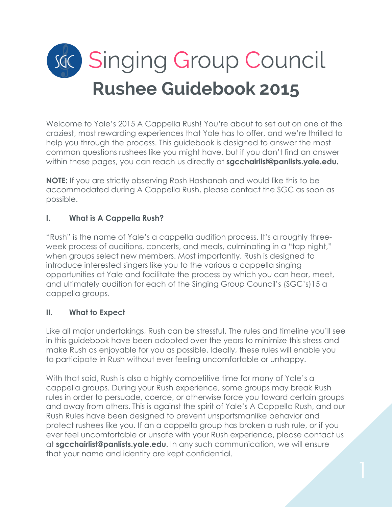# sac) Singing Group Council **Rushee Guidebook 2015**

Welcome to Yale's 2015 A Cappella Rush! You're about to set out on one of the craziest, most rewarding experiences that Yale has to offer, and we're thrilled to help you through the process. This guidebook is designed to answer the most common questions rushees like you might have, but if you don't find an answer within these pages, you can reach us directly at **sgcchairlist@panlists.yale.edu.**

**NOTE:** If you are strictly observing Rosh Hashanah and would like this to be accommodated during A Cappella Rush, please contact the SGC as soon as possible.

# **I. What is A Cappella Rush?**

"Rush" is the name of Yale's a cappella audition process. It's a roughly threeweek process of auditions, concerts, and meals, culminating in a "tap night," when groups select new members. Most importantly, Rush is designed to introduce interested singers like you to the various a cappella singing opportunities at Yale and facilitate the process by which you can hear, meet, and ultimately audition for each of the Singing Group Council's (SGC's)15 a cappella groups.

## **II. What to Expect**

Like all major undertakings, Rush can be stressful. The rules and timeline you'll see in this guidebook have been adopted over the years to minimize this stress and make Rush as enjoyable for you as possible. Ideally, these rules will enable you to participate in Rush without ever feeling uncomfortable or unhappy.

With that said, Rush is also a highly competitive time for many of Yale's a cappella groups. During your Rush experience, some groups may break Rush rules in order to persuade, coerce, or otherwise force you toward certain groups and away from others. This is against the spirit of Yale's A Cappella Rush, and our Rush Rules have been designed to prevent unsportsmanlike behavior and protect rushees like you. If an a cappella group has broken a rush rule, or if you ever feel uncomfortable or unsafe with your Rush experience, please contact us at **sgcchairlist@panlists.yale.edu**. In any such communication, we will ensure that your name and identity are kept confidential.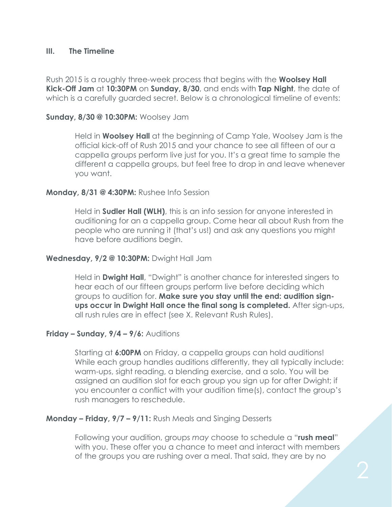#### **III. The Timeline**

Rush 2015 is a roughly three-week process that begins with the **Woolsey Hall Kick-Off Jam** at **10:30PM** on **Sunday, 8/30**, and ends with **Tap Night**, the date of which is a carefully guarded secret. Below is a chronological timeline of events:

#### **Sunday, 8/30 @ 10:30PM:** Woolsey Jam

Held in **Woolsey Hall** at the beginning of Camp Yale, Woolsey Jam is the official kick-off of Rush 2015 and your chance to see all fifteen of our a cappella groups perform live just for you. It's a great time to sample the different a cappella groups, but feel free to drop in and leave whenever you want.

## **Monday, 8/31 @ 4:30PM:** Rushee Info Session

Held in **Sudler Hall (WLH)**, this is an info session for anyone interested in auditioning for an a cappella group. Come hear all about Rush from the people who are running it (that's us!) and ask any questions you might have before auditions begin.

#### **Wednesday, 9/2 @ 10:30PM:** Dwight Hall Jam

Held in **Dwight Hall**, "Dwight" is another chance for interested singers to hear each of our fifteen groups perform live before deciding which groups to audition for. **Make sure you stay until the end: audition signups occur in Dwight Hall once the final song is completed.** After sign-ups, all rush rules are in effect (see X. Relevant Rush Rules).

## **Friday – Sunday, 9/4 – 9/6:** Auditions

Starting at **6:00PM** on Friday, a cappella groups can hold auditions! While each group handles auditions differently, they all typically include: warm-ups, sight reading, a blending exercise, and a solo. You will be assigned an audition slot for each group you sign up for after Dwight; if you encounter a conflict with your audition time(s), contact the group's rush managers to reschedule.

#### **Monday – Friday, 9/7 – 9/11:** Rush Meals and Singing Desserts

Following your audition, groups *may* choose to schedule a "**rush meal**" with you. These offer you a chance to meet and interact with members of the groups you are rushing over a meal. That said, they are by no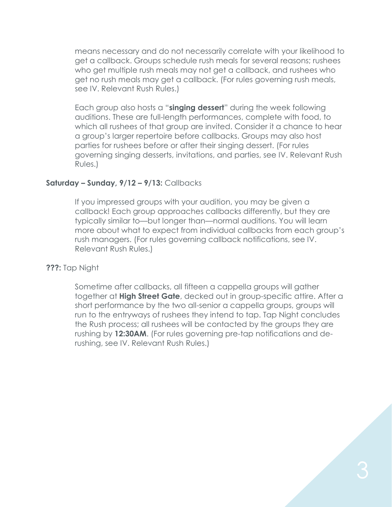means necessary and do not necessarily correlate with your likelihood to get a callback. Groups schedule rush meals for several reasons; rushees who get multiple rush meals may not get a callback, and rushees who get no rush meals may get a callback. (For rules governing rush meals, see IV. Relevant Rush Rules.)

Each group also hosts a "**singing dessert**" during the week following auditions. These are full-length performances, complete with food, to which all rushees of that group are invited. Consider it a chance to hear a group's larger repertoire before callbacks. Groups may also host parties for rushees before or after their singing dessert. (For rules governing singing desserts, invitations, and parties, see IV. Relevant Rush Rules.)

#### **Saturday – Sunday, 9/12 – 9/13:** Callbacks

If you impressed groups with your audition, you may be given a callback! Each group approaches callbacks differently, but they are typically similar to—but longer than—normal auditions. You will learn more about what to expect from individual callbacks from each group's rush managers. (For rules governing callback notifications, see IV. Relevant Rush Rules.)

#### **???:** Tap Night

Sometime after callbacks, all fifteen a cappella groups will gather together at **High Street Gate**, decked out in group-specific attire. After a short performance by the two all-senior a cappella groups, groups will run to the entryways of rushees they intend to tap. Tap Night concludes the Rush process; all rushees will be contacted by the groups they are rushing by **12:30AM**. (For rules governing pre-tap notifications and derushing, see IV. Relevant Rush Rules.)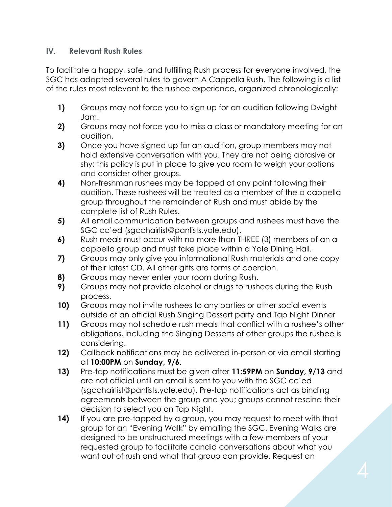## **IV. Relevant Rush Rules**

To facilitate a happy, safe, and fulfilling Rush process for everyone involved, the SGC has adopted several rules to govern A Cappella Rush. The following is a list of the rules most relevant to the rushee experience, organized chronologically:

- **1)** Groups may not force you to sign up for an audition following Dwight Jam.
- **2)** Groups may not force you to miss a class or mandatory meeting for an audition.
- **3)** Once you have signed up for an audition, group members may not hold extensive conversation with you. They are not being abrasive or shy; this policy is put in place to give you room to weigh your options and consider other groups.
- **4)** Non-freshman rushees may be tapped at any point following their audition. These rushees will be treated as a member of the a cappella group throughout the remainder of Rush and must abide by the complete list of Rush Rules.
- **5)** All email communication between groups and rushees must have the SGC cc'ed (sgcchairlist@panlists.yale.edu).
- **6)** Rush meals must occur with no more than THREE (3) members of an a cappella group and must take place within a Yale Dining Hall.
- **7)** Groups may only give you informational Rush materials and one copy of their latest CD. All other gifts are forms of coercion.
- **8)** Groups may never enter your room during Rush.
- **9)** Groups may not provide alcohol or drugs to rushees during the Rush process.
- **10)** Groups may not invite rushees to any parties or other social events outside of an official Rush Singing Dessert party and Tap Night Dinner
- **11)** Groups may not schedule rush meals that conflict with a rushee's other obligations, including the Singing Desserts of other groups the rushee is considering.
- **12)** Callback notifications may be delivered in-person or via email starting at **10:00PM** on **Sunday, 9/6**.
- **13)** Pre-tap notifications must be given after **11:59PM** on **Sunday, 9/13** and are not official until an email is sent to you with the SGC cc'ed (sgcchairlist@panlists.yale.edu). Pre-tap notifications act as binding agreements between the group and you; groups cannot rescind their decision to select you on Tap Night.
- **14)** If you are pre-tapped by a group, you may request to meet with that group for an "Evening Walk" by emailing the SGC. Evening Walks are designed to be unstructured meetings with a few members of your requested group to facilitate candid conversations about what you want out of rush and what that group can provide. Request an